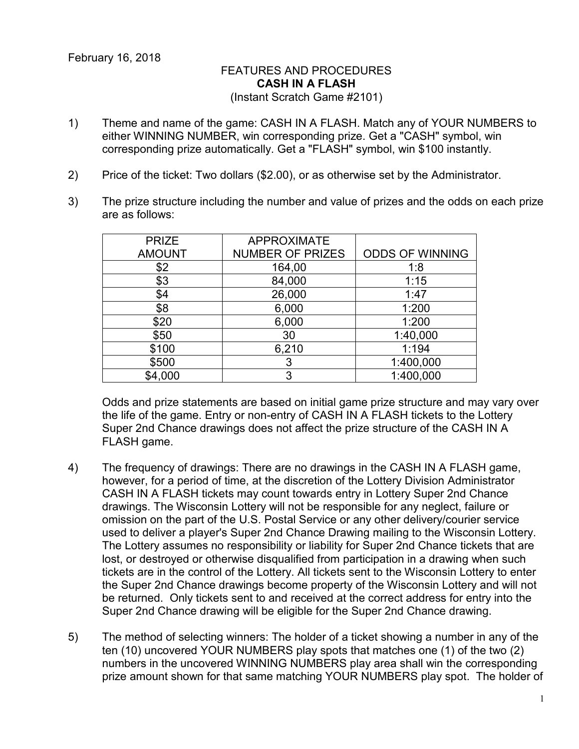## FEATURES AND PROCEDURES **CASH IN A FLASH** (Instant Scratch Game #2101)

- 1) Theme and name of the game: CASH IN A FLASH. Match any of YOUR NUMBERS to either WINNING NUMBER, win corresponding prize. Get a "CASH" symbol, win corresponding prize automatically. Get a "FLASH" symbol, win \$100 instantly.
- 2) Price of the ticket: Two dollars (\$2.00), or as otherwise set by the Administrator.
- 3) The prize structure including the number and value of prizes and the odds on each prize are as follows:

| <b>PRIZE</b>  | <b>APPROXIMATE</b>      |                        |
|---------------|-------------------------|------------------------|
| <b>AMOUNT</b> | <b>NUMBER OF PRIZES</b> | <b>ODDS OF WINNING</b> |
| \$2           | 164,00                  | 1:8                    |
| \$3           | 84,000                  | 1:15                   |
| \$4           | 26,000                  | 1:47                   |
| \$8           | 6,000                   | 1:200                  |
| \$20          | 6,000                   | 1:200                  |
| \$50          | 30                      | 1:40,000               |
| \$100         | 6,210                   | 1:194                  |
| \$500         | 3                       | 1:400,000              |
| \$4,000       | 3                       | 1:400,000              |

Odds and prize statements are based on initial game prize structure and may vary over the life of the game. Entry or non-entry of CASH IN A FLASH tickets to the Lottery Super 2nd Chance drawings does not affect the prize structure of the CASH IN A FLASH game.

- 4) The frequency of drawings: There are no drawings in the CASH IN A FLASH game, however, for a period of time, at the discretion of the Lottery Division Administrator CASH IN A FLASH tickets may count towards entry in Lottery Super 2nd Chance drawings. The Wisconsin Lottery will not be responsible for any neglect, failure or omission on the part of the U.S. Postal Service or any other delivery/courier service used to deliver a player's Super 2nd Chance Drawing mailing to the Wisconsin Lottery. The Lottery assumes no responsibility or liability for Super 2nd Chance tickets that are lost, or destroyed or otherwise disqualified from participation in a drawing when such tickets are in the control of the Lottery. All tickets sent to the Wisconsin Lottery to enter the Super 2nd Chance drawings become property of the Wisconsin Lottery and will not be returned. Only tickets sent to and received at the correct address for entry into the Super 2nd Chance drawing will be eligible for the Super 2nd Chance drawing.
- 5) The method of selecting winners: The holder of a ticket showing a number in any of the ten (10) uncovered YOUR NUMBERS play spots that matches one (1) of the two (2) numbers in the uncovered WINNING NUMBERS play area shall win the corresponding prize amount shown for that same matching YOUR NUMBERS play spot. The holder of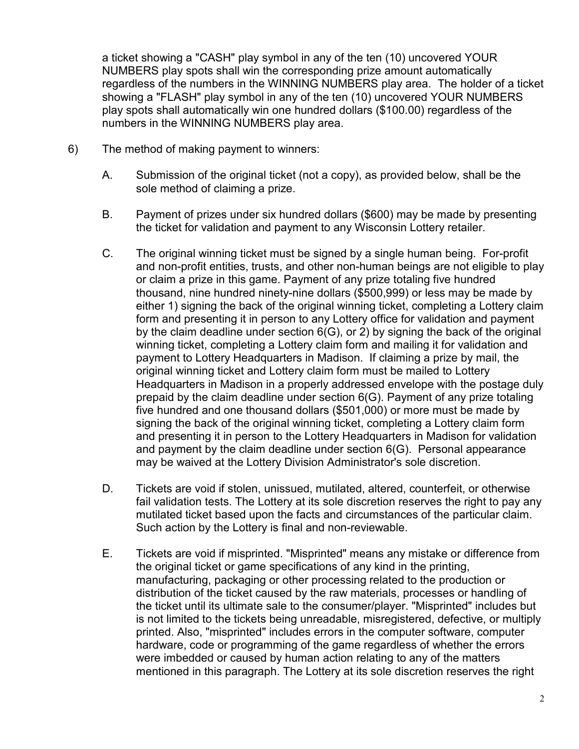a ticket showing a "CASH" play symbol in any of the ten (10) uncovered YOUR NUMBERS play spots shall win the corresponding prize amount automatically regardless of the numbers in the WINNING NUMBERS play area. The holder of a ticket showing a "FLASH" play symbol in any of the ten (10) uncovered YOUR NUMBERS play spots shall automatically win one hundred dollars (\$100.00) regardless of the numbers in the WINNING NUMBERS play area.

- 6) The method of making payment to winners:
	- A. Submission of the original ticket (not a copy), as provided below, shall be the sole method of claiming a prize.
	- B. Payment of prizes under six hundred dollars (\$600) may be made by presenting the ticket for validation and payment to any Wisconsin Lottery retailer.
	- C. The original winning ticket must be signed by a single human being. For-profit and non-profit entities, trusts, and other non-human beings are not eligible to play or claim a prize in this game. Payment of any prize totaling five hundred thousand, nine hundred ninety-nine dollars (\$500,999) or less may be made by either 1) signing the back of the original winning ticket, completing a Lottery claim form and presenting it in person to any Lottery office for validation and payment by the claim deadline under section 6(G), or 2) by signing the back of the original winning ticket, completing a Lottery claim form and mailing it for validation and payment to Lottery Headquarters in Madison. If claiming a prize by mail, the original winning ticket and Lottery claim form must be mailed to Lottery Headquarters in Madison in a properly addressed envelope with the postage duly prepaid by the claim deadline under section 6(G). Payment of any prize totaling five hundred and one thousand dollars (\$501,000) or more must be made by signing the back of the original winning ticket, completing a Lottery claim form and presenting it in person to the Lottery Headquarters in Madison for validation and payment by the claim deadline under section 6(G). Personal appearance may be waived at the Lottery Division Administrator's sole discretion.
	- D. Tickets are void if stolen, unissued, mutilated, altered, counterfeit, or otherwise fail validation tests. The Lottery at its sole discretion reserves the right to pay any mutilated ticket based upon the facts and circumstances of the particular claim. Such action by the Lottery is final and non-reviewable.
	- E. Tickets are void if misprinted. "Misprinted" means any mistake or difference from the original ticket or game specifications of any kind in the printing, manufacturing, packaging or other processing related to the production or distribution of the ticket caused by the raw materials, processes or handling of the ticket until its ultimate sale to the consumer/player. "Misprinted" includes but is not limited to the tickets being unreadable, misregistered, defective, or multiply printed. Also, "misprinted" includes errors in the computer software, computer hardware, code or programming of the game regardless of whether the errors were imbedded or caused by human action relating to any of the matters mentioned in this paragraph. The Lottery at its sole discretion reserves the right